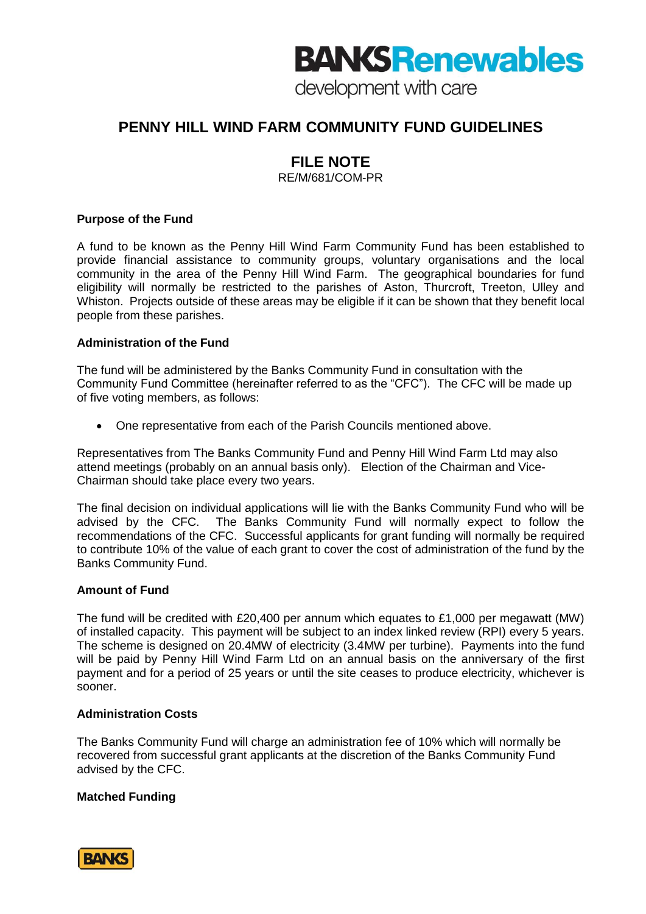# **BANKS Renewables**

development with care

# **PENNY HILL WIND FARM COMMUNITY FUND GUIDELINES**

# **FILE NOTE**

RE/M/681/COM-PR

## **Purpose of the Fund**

A fund to be known as the Penny Hill Wind Farm Community Fund has been established to provide financial assistance to community groups, voluntary organisations and the local community in the area of the Penny Hill Wind Farm. The geographical boundaries for fund eligibility will normally be restricted to the parishes of Aston, Thurcroft, Treeton, Ulley and Whiston. Projects outside of these areas may be eligible if it can be shown that they benefit local people from these parishes.

#### **Administration of the Fund**

The fund will be administered by the Banks Community Fund in consultation with the Community Fund Committee (hereinafter referred to as the "CFC"). The CFC will be made up of five voting members, as follows:

One representative from each of the Parish Councils mentioned above.

Representatives from The Banks Community Fund and Penny Hill Wind Farm Ltd may also attend meetings (probably on an annual basis only). Election of the Chairman and Vice-Chairman should take place every two years.

The final decision on individual applications will lie with the Banks Community Fund who will be advised by the CFC. The Banks Community Fund will normally expect to follow the recommendations of the CFC. Successful applicants for grant funding will normally be required to contribute 10% of the value of each grant to cover the cost of administration of the fund by the Banks Community Fund.

## **Amount of Fund**

The fund will be credited with £20,400 per annum which equates to £1,000 per megawatt (MW) of installed capacity. This payment will be subject to an index linked review (RPI) every 5 years. The scheme is designed on 20.4MW of electricity (3.4MW per turbine). Payments into the fund will be paid by Penny Hill Wind Farm Ltd on an annual basis on the anniversary of the first payment and for a period of 25 years or until the site ceases to produce electricity, whichever is sooner.

## **Administration Costs**

The Banks Community Fund will charge an administration fee of 10% which will normally be recovered from successful grant applicants at the discretion of the Banks Community Fund advised by the CFC.

## **Matched Funding**

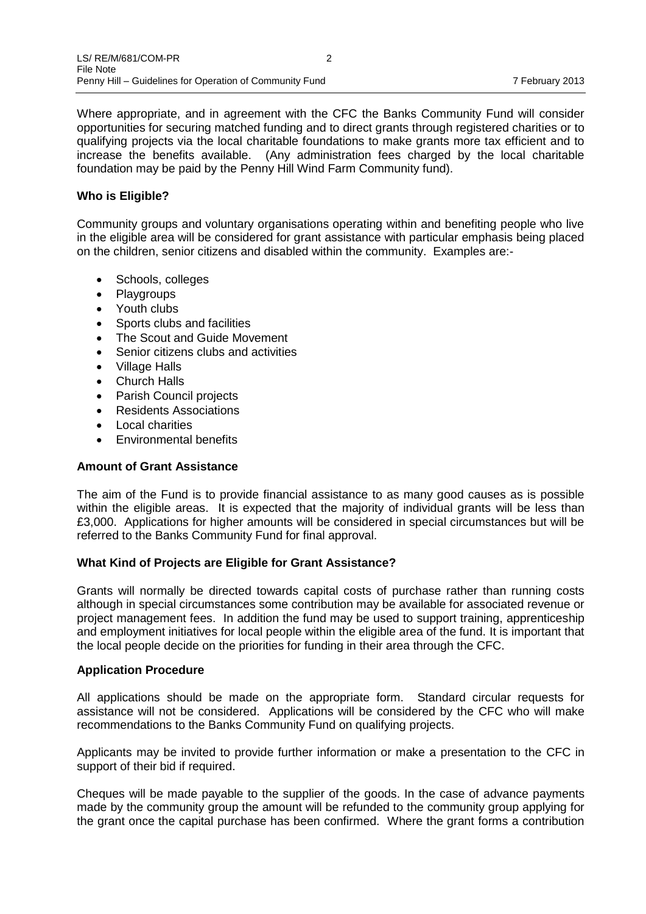Where appropriate, and in agreement with the CFC the Banks Community Fund will consider opportunities for securing matched funding and to direct grants through registered charities or to qualifying projects via the local charitable foundations to make grants more tax efficient and to increase the benefits available. (Any administration fees charged by the local charitable foundation may be paid by the Penny Hill Wind Farm Community fund).

#### **Who is Eligible?**

Community groups and voluntary organisations operating within and benefiting people who live in the eligible area will be considered for grant assistance with particular emphasis being placed on the children, senior citizens and disabled within the community. Examples are:-

- Schools, colleges
- Playgroups
- Youth clubs
- Sports clubs and facilities
- The Scout and Guide Movement
- Senior citizens clubs and activities
- Village Halls
- Church Halls
- Parish Council projects
- Residents Associations
- Local charities
- Environmental benefits

#### **Amount of Grant Assistance**

The aim of the Fund is to provide financial assistance to as many good causes as is possible within the eligible areas. It is expected that the majority of individual grants will be less than £3,000. Applications for higher amounts will be considered in special circumstances but will be referred to the Banks Community Fund for final approval.

#### **What Kind of Projects are Eligible for Grant Assistance?**

Grants will normally be directed towards capital costs of purchase rather than running costs although in special circumstances some contribution may be available for associated revenue or project management fees. In addition the fund may be used to support training, apprenticeship and employment initiatives for local people within the eligible area of the fund. It is important that the local people decide on the priorities for funding in their area through the CFC.

#### **Application Procedure**

All applications should be made on the appropriate form. Standard circular requests for assistance will not be considered. Applications will be considered by the CFC who will make recommendations to the Banks Community Fund on qualifying projects.

Applicants may be invited to provide further information or make a presentation to the CFC in support of their bid if required.

Cheques will be made payable to the supplier of the goods. In the case of advance payments made by the community group the amount will be refunded to the community group applying for the grant once the capital purchase has been confirmed. Where the grant forms a contribution